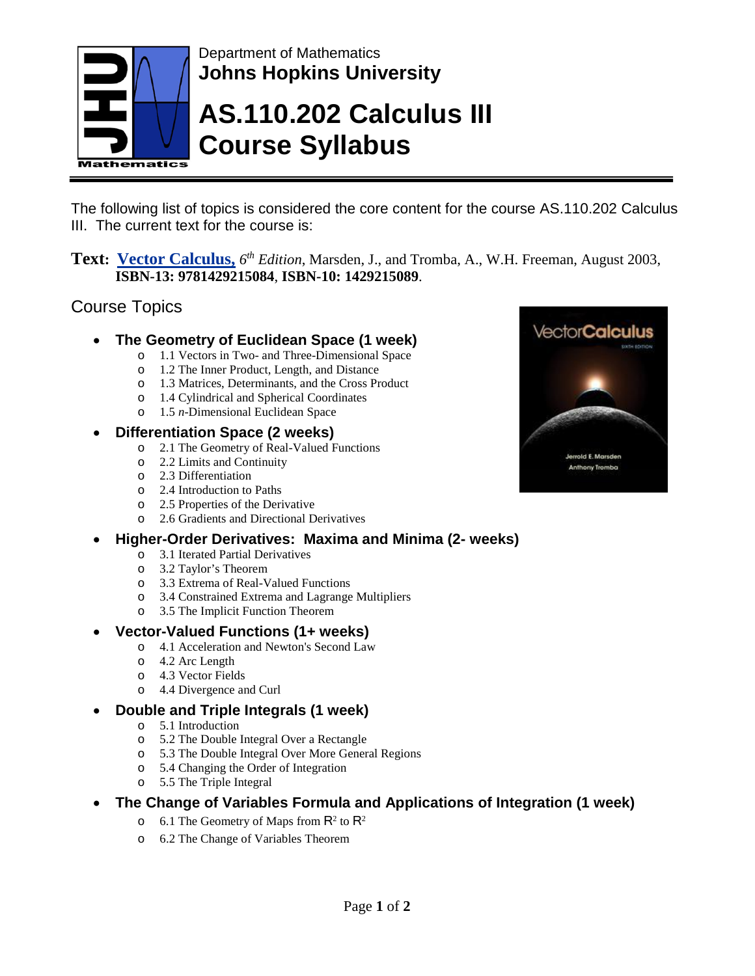

Department of Mathematics **Johns Hopkins University**

# **AS.110.202 Calculus III Course Syllabus**

The following list of topics is considered the core content for the course AS.110.202 Calculus III. The current text for the course is:

**Text: Vector Calculus,** *6th Edition*, Marsden, J., and Tromba, A., W.H. Freeman, August 2003, **ISBN-13: 9781429215084**, **ISBN-10: 1429215089**.

## Course Topics

#### • **The Geometry of Euclidean Space (1 week)**

- o 1.1 Vectors in Two- and Three-Dimensional Space
- o 1.2 The Inner Product, Length, and Distance
- o 1.3 Matrices, Determinants, and the Cross Product
- o 1.4 Cylindrical and Spherical Coordinates
- o 1.5 *n*-Dimensional Euclidean Space

### • **Differentiation Space (2 weeks)**

- o 2.1 The Geometry of Real-Valued Functions
- o 2.2 Limits and Continuity
- o 2.3 Differentiation
- o 2.4 Introduction to Paths
- o 2.5 Properties of the Derivative
- o 2.6 Gradients and Directional Derivatives

### • **Higher-Order Derivatives: Maxima and Minima (2- weeks)**

- o 3.1 Iterated Partial Derivatives
- o 3.2 Taylor's Theorem
- o 3.3 Extrema of Real-Valued Functions
- o 3.4 Constrained Extrema and Lagrange Multipliers
- o 3.5 The Implicit Function Theorem

#### • **Vector-Valued Functions (1+ weeks)**

- o 4.1 Acceleration and Newton's Second Law
- o 4.2 Arc Length
- o 4.3 Vector Fields
- o 4.4 Divergence and Curl

#### • **Double and Triple Integrals (1 week)**

- o 5.1 Introduction
- o 5.2 The Double Integral Over a Rectangle
- o 5.3 The Double Integral Over More General Regions
- o 5.4 Changing the Order of Integration
- o 5.5 The Triple Integral
- **The Change of Variables Formula and Applications of Integration (1 week)**
	- $\circ$  6.1 The Geometry of Maps from  $\mathsf{R}^2$  to  $\mathsf{R}^2$
	- o 6.2 The Change of Variables Theorem